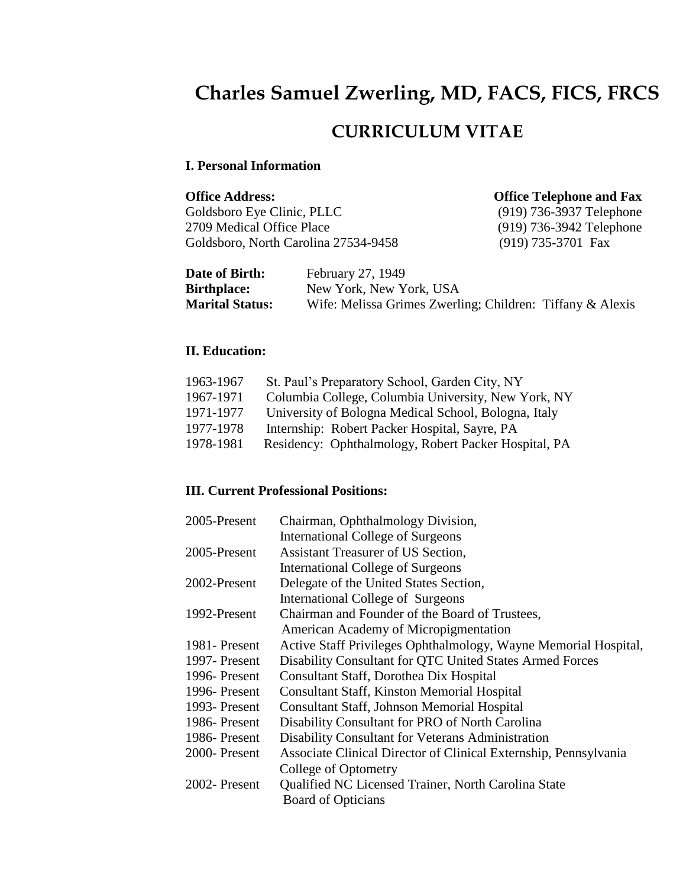# **Charles Samuel Zwerling, MD, FACS, FICS, FRCS**

# **CURRICULUM VITAE**

### **I. Personal Information**

**Office Address: Office Telephone and Fax**<br>
Goldsboro Eye Clinic, PLLC (919) 736-3937 Telephone Goldsboro Eye Clinic, PLLC<br>2709 Medical Office Place Goldsboro, North Carolina 27534-9458

(919) 736-3942 Telephone<br>(919) 735-3701 Fax

| <b>Date of Birth:</b>  | February 27, 1949                                         |
|------------------------|-----------------------------------------------------------|
| <b>Birthplace:</b>     | New York, New York, USA                                   |
| <b>Marital Status:</b> | Wife: Melissa Grimes Zwerling; Children: Tiffany & Alexis |

## **II. Education:**

| 1963-1967 | St. Paul's Preparatory School, Garden City, NY       |
|-----------|------------------------------------------------------|
| 1967-1971 | Columbia College, Columbia University, New York, NY  |
| 1971-1977 | University of Bologna Medical School, Bologna, Italy |
| 1977-1978 | Internship: Robert Packer Hospital, Sayre, PA        |
| 1978-1981 | Residency: Ophthalmology, Robert Packer Hospital, PA |

## **III. Current Professional Positions:**

| 2005-Present   | Chairman, Ophthalmology Division,                                |
|----------------|------------------------------------------------------------------|
|                | <b>International College of Surgeons</b>                         |
| 2005-Present   | Assistant Treasurer of US Section,                               |
|                | <b>International College of Surgeons</b>                         |
| 2002-Present   | Delegate of the United States Section,                           |
|                | International College of Surgeons                                |
| 1992-Present   | Chairman and Founder of the Board of Trustees,                   |
|                | American Academy of Micropigmentation                            |
| 1981 - Present | Active Staff Privileges Ophthalmology, Wayne Memorial Hospital,  |
| 1997- Present  | Disability Consultant for QTC United States Armed Forces         |
| 1996-Present   | Consultant Staff, Dorothea Dix Hospital                          |
| 1996-Present   | <b>Consultant Staff, Kinston Memorial Hospital</b>               |
| 1993- Present  | <b>Consultant Staff, Johnson Memorial Hospital</b>               |
| 1986-Present   | Disability Consultant for PRO of North Carolina                  |
| 1986-Present   | Disability Consultant for Veterans Administration                |
| 2000-Present   | Associate Clinical Director of Clinical Externship, Pennsylvania |
|                | College of Optometry                                             |
| 2002-Present   | Qualified NC Licensed Trainer, North Carolina State              |
|                | <b>Board of Opticians</b>                                        |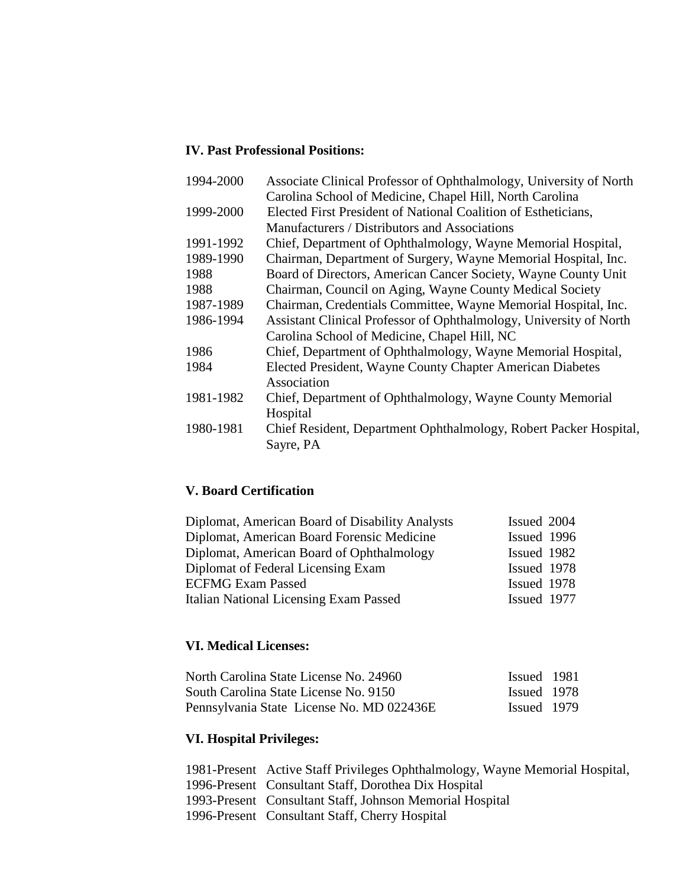## **IV. Past Professional Positions:**

| 1994-2000 | Associate Clinical Professor of Ophthalmology, University of North |
|-----------|--------------------------------------------------------------------|
|           | Carolina School of Medicine, Chapel Hill, North Carolina           |
| 1999-2000 | Elected First President of National Coalition of Estheticians,     |
|           | Manufacturers / Distributors and Associations                      |
| 1991-1992 | Chief, Department of Ophthalmology, Wayne Memorial Hospital,       |
| 1989-1990 | Chairman, Department of Surgery, Wayne Memorial Hospital, Inc.     |
| 1988      | Board of Directors, American Cancer Society, Wayne County Unit     |
| 1988      | Chairman, Council on Aging, Wayne County Medical Society           |
| 1987-1989 | Chairman, Credentials Committee, Wayne Memorial Hospital, Inc.     |
| 1986-1994 | Assistant Clinical Professor of Ophthalmology, University of North |
|           | Carolina School of Medicine, Chapel Hill, NC                       |
| 1986      | Chief, Department of Ophthalmology, Wayne Memorial Hospital,       |
| 1984      | Elected President, Wayne County Chapter American Diabetes          |
|           | Association                                                        |
| 1981-1982 | Chief, Department of Ophthalmology, Wayne County Memorial          |
|           | Hospital                                                           |
| 1980-1981 | Chief Resident, Department Ophthalmology, Robert Packer Hospital,  |
|           | Sayre, PA                                                          |
|           |                                                                    |

## **V. Board Certification**

| Diplomat, American Board of Disability Analysts | Issued 2004 |
|-------------------------------------------------|-------------|
| Diplomat, American Board Forensic Medicine      | Issued 1996 |
| Diplomat, American Board of Ophthalmology       | Issued 1982 |
| Diplomat of Federal Licensing Exam              | Issued 1978 |
| <b>ECFMG Exam Passed</b>                        | Issued 1978 |
| <b>Italian National Licensing Exam Passed</b>   | Issued 1977 |

## **VI. Medical Licenses:**

| North Carolina State License No. 24960    | Issued 1981 |  |
|-------------------------------------------|-------------|--|
| South Carolina State License No. 9150     | Issued 1978 |  |
| Pennsylvania State License No. MD 022436E | Issued 1979 |  |

## **VI. Hospital Privileges:**

| 1981-Present Active Staff Privileges Ophthalmology, Wayne Memorial Hospital, |
|------------------------------------------------------------------------------|
| 1996-Present Consultant Staff, Dorothea Dix Hospital                         |
| 1993-Present Consultant Staff, Johnson Memorial Hospital                     |
| 1996-Present Consultant Staff, Cherry Hospital                               |
|                                                                              |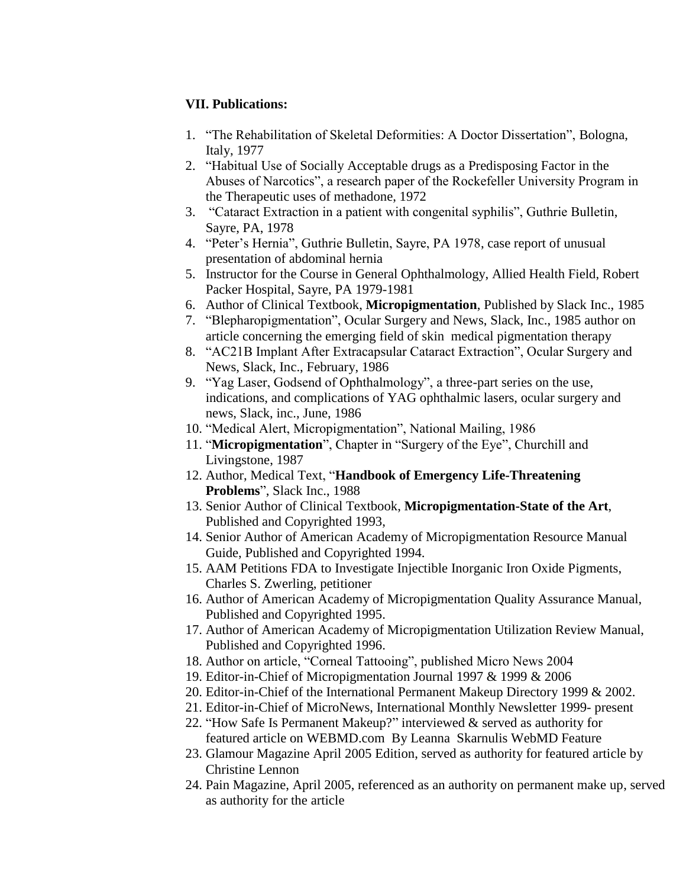## **VII. Publications:**

- 1. "The Rehabilitation of Skeletal Deformities: A Doctor Dissertation", Bologna, Italy, 1977
- 2. "Habitual Use of Socially Acceptable drugs as a Predisposing Factor in the Abuses of Narcotics", a research paper of the Rockefeller University Program in the Therapeutic uses of methadone, 1972
- 3. "Cataract Extraction in a patient with congenital syphilis", Guthrie Bulletin, Sayre, PA, 1978
- 4. "Peter's Hernia", Guthrie Bulletin, Sayre, PA 1978, case report of unusual presentation of abdominal hernia
- 5. Instructor for the Course in General Ophthalmology, Allied Health Field, Robert Packer Hospital, Sayre, PA 1979-1981
- 6. Author of Clinical Textbook, **Micropigmentation**, Published by Slack Inc., 1985
- 7. "Blepharopigmentation", Ocular Surgery and News, Slack, Inc., 1985 author on article concerning the emerging field of skin medical pigmentation therapy
- 8. "AC21B Implant After Extracapsular Cataract Extraction", Ocular Surgery and News, Slack, Inc., February, 1986
- 9. "Yag Laser, Godsend of Ophthalmology", a three-part series on the use, indications, and complications of YAG ophthalmic lasers, ocular surgery and news, Slack, inc., June, 1986
- 10. "Medical Alert, Micropigmentation", National Mailing, 1986
- 11. "**Micropigmentation**", Chapter in "Surgery of the Eye", Churchill and Livingstone, 1987
- 12. Author, Medical Text, "**Handbook of Emergency Life-Threatening Problems**", Slack Inc., 1988
- 13. Senior Author of Clinical Textbook, **Micropigmentation-State of the Art**, Published and Copyrighted 1993,
- 14. Senior Author of American Academy of Micropigmentation Resource Manual Guide, Published and Copyrighted 1994.
- 15. AAM Petitions FDA to Investigate Injectible Inorganic Iron Oxide Pigments, Charles S. Zwerling, petitioner
- 16. Author of American Academy of Micropigmentation Quality Assurance Manual, Published and Copyrighted 1995.
- 17. Author of American Academy of Micropigmentation Utilization Review Manual, Published and Copyrighted 1996.
- 18. Author on article, "Corneal Tattooing", published Micro News 2004
- 19. Editor-in-Chief of Micropigmentation Journal 1997 & 1999 & 2006
- 20. Editor-in-Chief of the International Permanent Makeup Directory 1999 & 2002.
- 21. Editor-in-Chief of MicroNews, International Monthly Newsletter 1999- present
- 22. "How Safe Is Permanent Makeup?" interviewed & served as authority for featured article on WEBMD.com By Leanna Skarnulis WebMD Feature
- 23. Glamour Magazine April 2005 Edition, served as authority for featured article by Christine Lennon
- 24. Pain Magazine, April 2005, referenced as an authority on permanent make up, served as authority for the article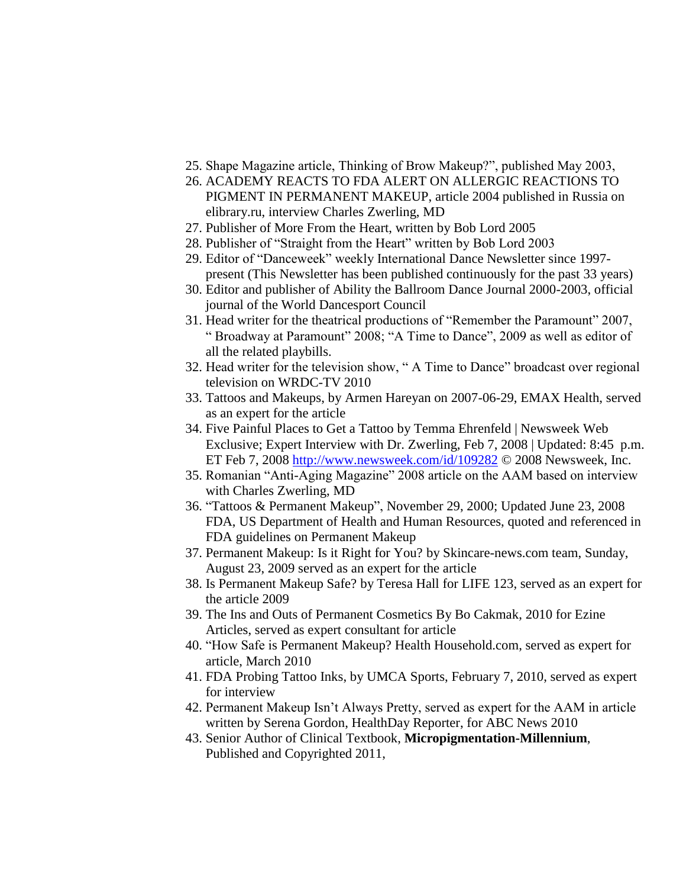- 25. Shape Magazine article, Thinking of Brow Makeup?", published May 2003,
- 26. ACADEMY REACTS TO FDA ALERT ON ALLERGIC REACTIONS TO PIGMENT IN PERMANENT MAKEUP, article 2004 published in Russia on elibrary.ru, interview Charles Zwerling, MD
- 27. Publisher of More From the Heart, written by Bob Lord 2005
- 28. Publisher of "Straight from the Heart" written by Bob Lord 2003
- 29. Editor of "Danceweek" weekly International Dance Newsletter since 1997 present (This Newsletter has been published continuously for the past 33 years)
- 30. Editor and publisher of Ability the Ballroom Dance Journal 2000-2003, official journal of the World Dancesport Council
- 31. Head writer for the theatrical productions of "Remember the Paramount" 2007, " Broadway at Paramount" 2008; "A Time to Dance", 2009 as well as editor of all the related playbills.
- 32. Head writer for the television show, " A Time to Dance" broadcast over regional television on WRDC-TV 2010
- 33. Tattoos and Makeups, by Armen Hareyan on 2007-06-29, EMAX Health, served as an expert for the article
- 34. Five Painful Places to Get a Tattoo by Temma Ehrenfeld | Newsweek Web Exclusive; Expert Interview with Dr. Zwerling, Feb 7, 2008 | Updated: 8:45 p.m. ET Feb 7, 2008 <http://www.newsweek.com/id/109282> © 2008 Newsweek, Inc.
- 35. Romanian "Anti-Aging Magazine" 2008 article on the AAM based on interview with Charles Zwerling, MD
- 36. "Tattoos & Permanent Makeup", November 29, 2000; Updated June 23, 2008 FDA, US Department of Health and Human Resources, quoted and referenced in FDA guidelines on Permanent Makeup
- 37. Permanent Makeup: Is it Right for You? by Skincare-news.com team, Sunday, August 23, 2009 served as an expert for the article
- 38. Is Permanent Makeup Safe? by Teresa Hall for LIFE 123, served as an expert for the article 2009
- 39. The Ins and Outs of Permanent Cosmetics By Bo Cakmak, 2010 for Ezine Articles, served as expert consultant for article
- 40. "How Safe is Permanent Makeup? Health Household.com, served as expert for article, March 2010
- 41. FDA Probing Tattoo Inks, by UMCA Sports, February 7, 2010, served as expert for interview
- 42. Permanent Makeup Isn't Always Pretty, served as expert for the AAM in article written by Serena Gordon, HealthDay Reporter, for ABC News 2010
- 43. Senior Author of Clinical Textbook, **Micropigmentation-Millennium**, Published and Copyrighted 2011,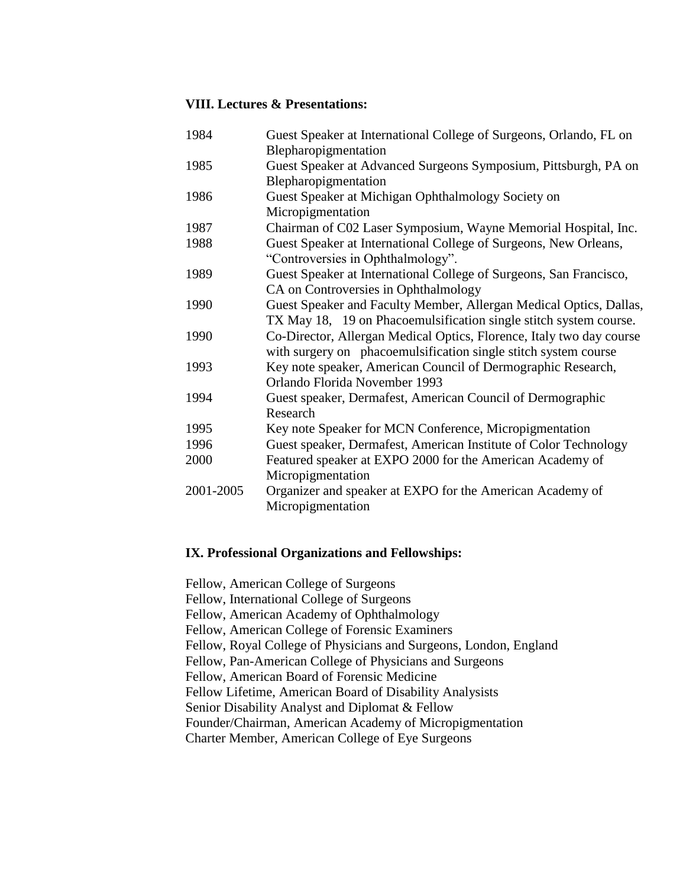#### **VIII. Lectures & Presentations:**

| 1984      | Guest Speaker at International College of Surgeons, Orlando, FL on                                                                      |
|-----------|-----------------------------------------------------------------------------------------------------------------------------------------|
| 1985      | Blepharopigmentation<br>Guest Speaker at Advanced Surgeons Symposium, Pittsburgh, PA on<br>Blepharopigmentation                         |
| 1986      | Guest Speaker at Michigan Ophthalmology Society on<br>Micropigmentation                                                                 |
| 1987      | Chairman of C02 Laser Symposium, Wayne Memorial Hospital, Inc.                                                                          |
| 1988      | Guest Speaker at International College of Surgeons, New Orleans,<br>"Controversies in Ophthalmology".                                   |
| 1989      | Guest Speaker at International College of Surgeons, San Francisco,<br>CA on Controversies in Ophthalmology                              |
| 1990      | Guest Speaker and Faculty Member, Allergan Medical Optics, Dallas,<br>TX May 18, 19 on Phacoemulsification single stitch system course. |
| 1990      | Co-Director, Allergan Medical Optics, Florence, Italy two day course<br>with surgery on phacoemulsification single stitch system course |
| 1993      | Key note speaker, American Council of Dermographic Research,<br>Orlando Florida November 1993                                           |
| 1994      | Guest speaker, Dermafest, American Council of Dermographic<br>Research                                                                  |
| 1995      | Key note Speaker for MCN Conference, Micropigmentation                                                                                  |
| 1996      | Guest speaker, Dermafest, American Institute of Color Technology                                                                        |
| 2000      | Featured speaker at EXPO 2000 for the American Academy of<br>Micropigmentation                                                          |
| 2001-2005 | Organizer and speaker at EXPO for the American Academy of<br>Micropigmentation                                                          |

### **IX. Professional Organizations and Fellowships:**

Fellow, American College of Surgeons Fellow, International College of Surgeons Fellow, American Academy of Ophthalmology Fellow, American College of Forensic Examiners Fellow, Royal College of Physicians and Surgeons, London, England Fellow, Pan-American College of Physicians and Surgeons Fellow, American Board of Forensic Medicine Fellow Lifetime, American Board of Disability Analysists Senior Disability Analyst and Diplomat & Fellow Founder/Chairman, American Academy of Micropigmentation Charter Member, American College of Eye Surgeons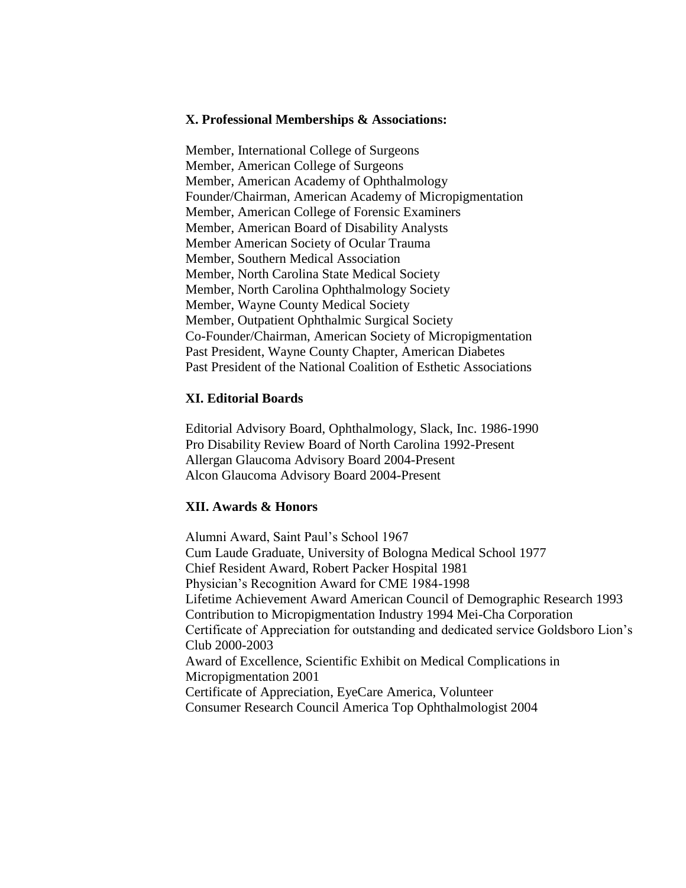#### **X. Professional Memberships & Associations:**

Member, International College of Surgeons Member, American College of Surgeons Member, American Academy of Ophthalmology Founder/Chairman, American Academy of Micropigmentation Member, American College of Forensic Examiners Member, American Board of Disability Analysts Member American Society of Ocular Trauma Member, Southern Medical Association Member, North Carolina State Medical Society Member, North Carolina Ophthalmology Society Member, Wayne County Medical Society Member, Outpatient Ophthalmic Surgical Society Co-Founder/Chairman, American Society of Micropigmentation Past President, Wayne County Chapter, American Diabetes Past President of the National Coalition of Esthetic Associations

#### **XI. Editorial Boards**

Editorial Advisory Board, Ophthalmology, Slack, Inc. 1986-1990 Pro Disability Review Board of North Carolina 1992-Present Allergan Glaucoma Advisory Board 2004-Present Alcon Glaucoma Advisory Board 2004-Present

#### **XII. Awards & Honors**

Alumni Award, Saint Paul's School 1967 Cum Laude Graduate, University of Bologna Medical School 1977 Chief Resident Award, Robert Packer Hospital 1981 Physician's Recognition Award for CME 1984-1998 Lifetime Achievement Award American Council of Demographic Research 1993 Contribution to Micropigmentation Industry 1994 Mei-Cha Corporation Certificate of Appreciation for outstanding and dedicated service Goldsboro Lion's Club 2000-2003 Award of Excellence, Scientific Exhibit on Medical Complications in Micropigmentation 2001 Certificate of Appreciation, EyeCare America, Volunteer Consumer Research Council America Top Ophthalmologist 2004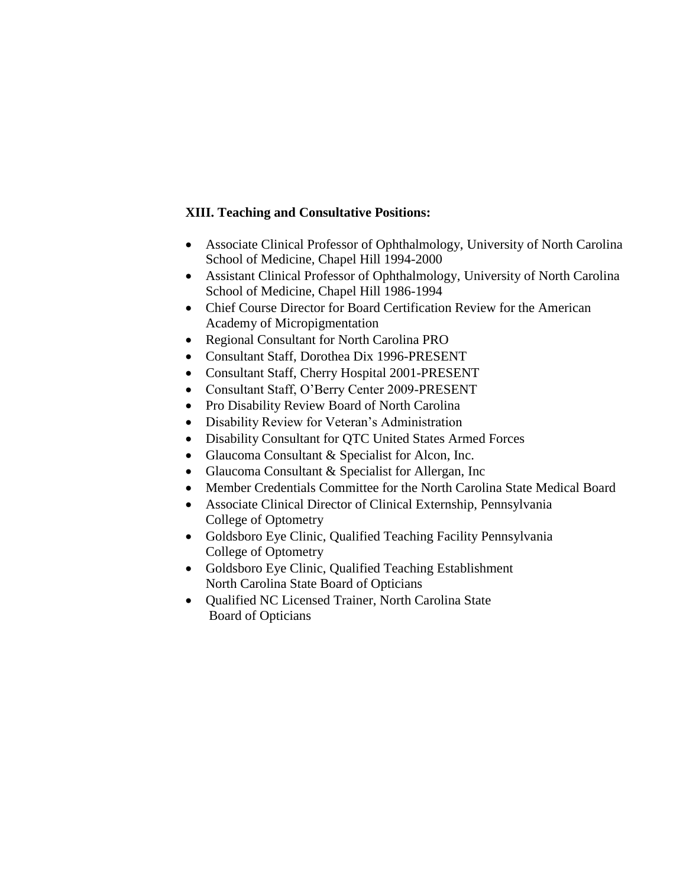## **XIII. Teaching and Consultative Positions:**

- Associate Clinical Professor of Ophthalmology, University of North Carolina School of Medicine, Chapel Hill 1994-2000
- Assistant Clinical Professor of Ophthalmology, University of North Carolina School of Medicine, Chapel Hill 1986-1994
- Chief Course Director for Board Certification Review for the American Academy of Micropigmentation
- Regional Consultant for North Carolina PRO
- Consultant Staff, Dorothea Dix 1996-PRESENT
- Consultant Staff, Cherry Hospital 2001-PRESENT
- Consultant Staff, O'Berry Center 2009-PRESENT
- Pro Disability Review Board of North Carolina
- Disability Review for Veteran's Administration
- Disability Consultant for QTC United States Armed Forces
- Glaucoma Consultant & Specialist for Alcon, Inc.
- Glaucoma Consultant & Specialist for Allergan, Inc
- Member Credentials Committee for the North Carolina State Medical Board
- Associate Clinical Director of Clinical Externship, Pennsylvania College of Optometry
- Goldsboro Eye Clinic, Qualified Teaching Facility Pennsylvania College of Optometry
- Goldsboro Eye Clinic, Qualified Teaching Establishment North Carolina State Board of Opticians
- Qualified NC Licensed Trainer, North Carolina State Board of Opticians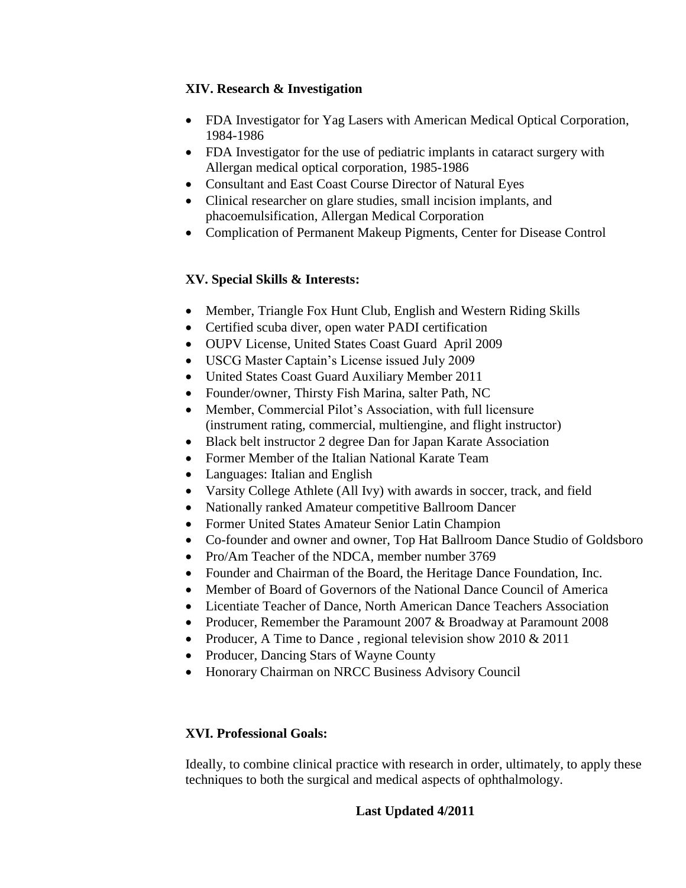## **XIV. Research & Investigation**

- FDA Investigator for Yag Lasers with American Medical Optical Corporation, 1984-1986
- FDA Investigator for the use of pediatric implants in cataract surgery with Allergan medical optical corporation, 1985-1986
- Consultant and East Coast Course Director of Natural Eyes
- Clinical researcher on glare studies, small incision implants, and phacoemulsification, Allergan Medical Corporation
- Complication of Permanent Makeup Pigments, Center for Disease Control

## **XV. Special Skills & Interests:**

- Member, Triangle Fox Hunt Club, English and Western Riding Skills
- Certified scuba diver, open water PADI certification
- OUPV License, United States Coast Guard April 2009
- USCG Master Captain's License issued July 2009
- United States Coast Guard Auxiliary Member 2011
- Founder/owner, Thirsty Fish Marina, salter Path, NC
- Member, Commercial Pilot's Association, with full licensure (instrument rating, commercial, multiengine, and flight instructor)
- Black belt instructor 2 degree Dan for Japan Karate Association
- Former Member of the Italian National Karate Team
- Languages: Italian and English
- Varsity College Athlete (All Ivy) with awards in soccer, track, and field
- Nationally ranked Amateur competitive Ballroom Dancer
- Former United States Amateur Senior Latin Champion
- Co-founder and owner and owner, Top Hat Ballroom Dance Studio of Goldsboro
- Pro/Am Teacher of the NDCA, member number 3769
- Founder and Chairman of the Board, the Heritage Dance Foundation, Inc.
- Member of Board of Governors of the National Dance Council of America
- Licentiate Teacher of Dance, North American Dance Teachers Association
- Producer, Remember the Paramount 2007 & Broadway at Paramount 2008
- Producer, A Time to Dance, regional television show  $2010 \& 2011$
- Producer, Dancing Stars of Wayne County
- Honorary Chairman on NRCC Business Advisory Council

## **XVI. Professional Goals:**

Ideally, to combine clinical practice with research in order, ultimately, to apply these techniques to both the surgical and medical aspects of ophthalmology.

## **Last Updated 4/2011**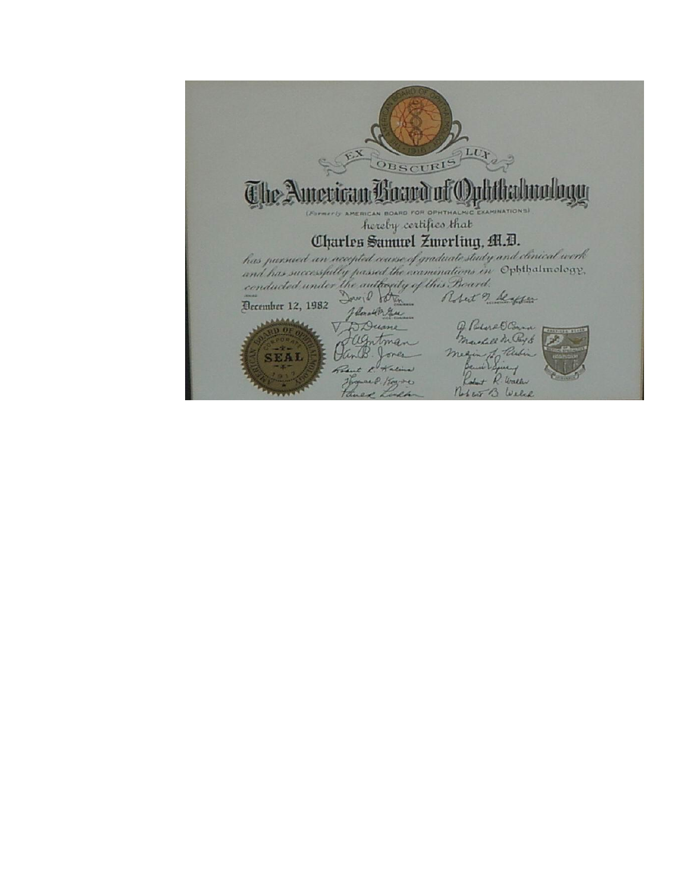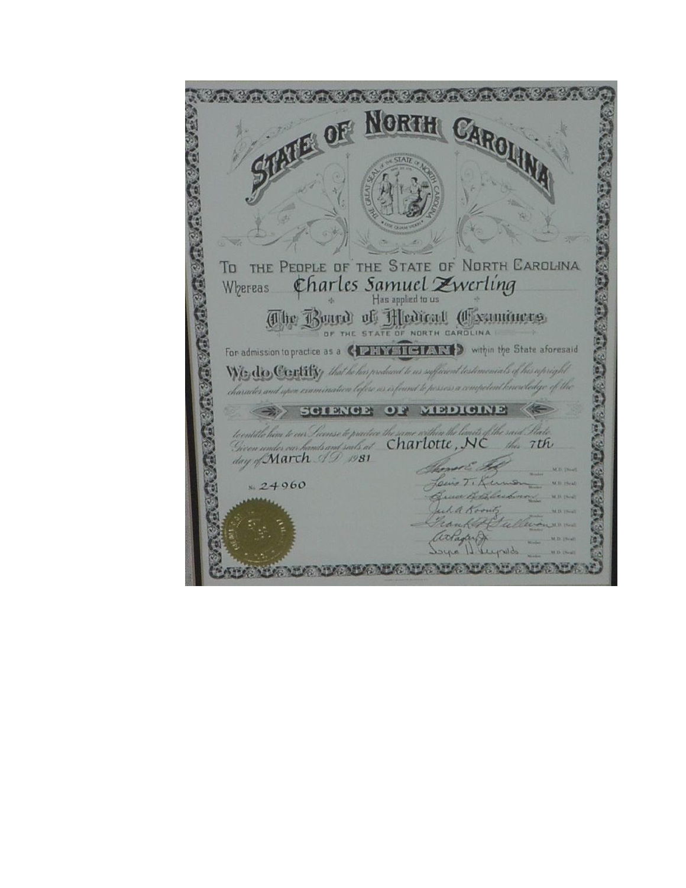MARK MARK NORTH  $\epsilon_{\rm eff}$ OF 中国中国家中国家中国中国家中国家 8/11820 TO THE PEOPLE OF THE STATE OF NORTH CAROLINA Charles Samuel Zwerling Whereas The Board of Hedical Chaminers **AGAR SIG** For admission to practice as a CIZANY TIGIANY > within the State aforesaid We, do Contify that he has produced to as sufficient testimonials of his upright character and upon examination lifere us is found to possess a competent knowledge of the SCIENCE OF MEDICINE uts of the said State. the hom to our Survey to practice the same within the munder can hands and souls at Charlotte, NC this 7th 2008000 day of March 19 1981  $24960$ artagler dope I deepsto